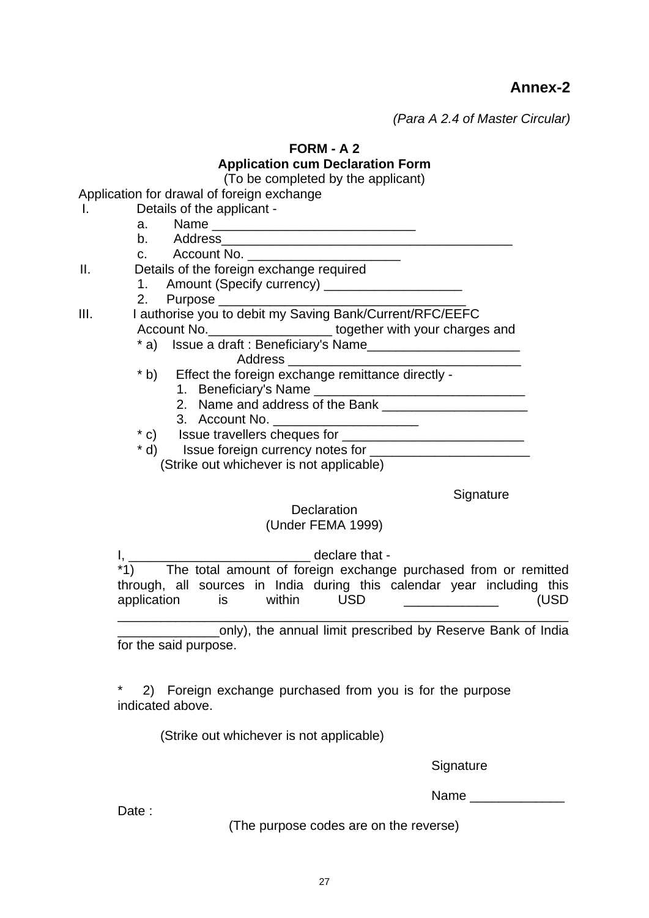**Annex-2** 

*(Para A 2.4 of Master Circular)* 

**FORM - A 2** 

# **Application cum Declaration Form**

(To be completed by the applicant)

Application for drawal of foreign exchange

- I. Details of the applicant -
- a. Name \_\_\_\_\_\_\_\_\_\_\_\_\_\_\_\_\_\_\_\_\_\_\_\_\_\_\_\_ b. Address\_\_\_\_\_\_\_\_\_\_\_\_\_\_\_\_\_\_\_\_\_\_\_\_\_\_\_\_\_\_\_\_\_\_\_\_\_\_\_\_ c. Account No. II. Details of the foreign exchange required 1. Amount (Specify currency) \_\_\_\_\_\_\_\_\_\_\_\_\_\_\_\_\_\_\_ 2. Purpose \_\_\_\_\_\_ III. I authorise you to debit my Saving Bank/Current/RFC/EEFC Account No. **Exercise 2** together with your charges and \* a) Issue a draft : Beneficiary's Name\_\_\_\_\_\_\_\_\_\_\_\_\_\_\_\_\_\_\_\_\_ Address \* b) Effect the foreign exchange remittance directly - 1. Beneficiary's Name 2. Name and address of the Bank
	- 3. Account No.
	- \* c) Issue travellers cheques for \_\_\_\_\_\_\_\_\_\_\_\_\_\_\_\_\_\_\_\_\_\_\_\_\_
	- \* d) Issue foreign currency notes for \_\_\_\_\_\_\_\_\_\_\_\_\_\_\_\_\_\_\_\_\_\_

(Strike out whichever is not applicable)

**Signature** 

# **Declaration**

# (Under FEMA 1999)

I, \_\_\_\_\_\_\_\_\_\_\_\_\_\_\_\_\_\_\_\_\_\_\_\_\_\_\_\_\_\_ declare that -\*1) The total amount of foreign exchange purchased from or remitted through, all sources in India during this calendar year including this application is within USD **CONFIDENT** (USD

\_\_\_\_\_\_\_\_\_\_\_\_\_\_\_\_\_\_\_\_\_\_\_\_\_\_\_\_\_\_\_\_\_\_\_\_\_\_\_\_\_\_\_\_\_\_\_\_\_\_\_\_\_\_\_\_\_\_\_\_\_\_ \_\_\_\_\_\_\_\_\_\_\_\_\_\_only), the annual limit prescribed by Reserve Bank of India for the said purpose.

2) Foreign exchange purchased from you is for the purpose indicated above.

(Strike out whichever is not applicable)

**Signature** 

Name **and the set of the set of the set of the set of the set of the set of the set of the set of the set of the set of the set of the set of the set of the set of the set of the set of the set of the set of the set of the** 

Date:

(The purpose codes are on the reverse)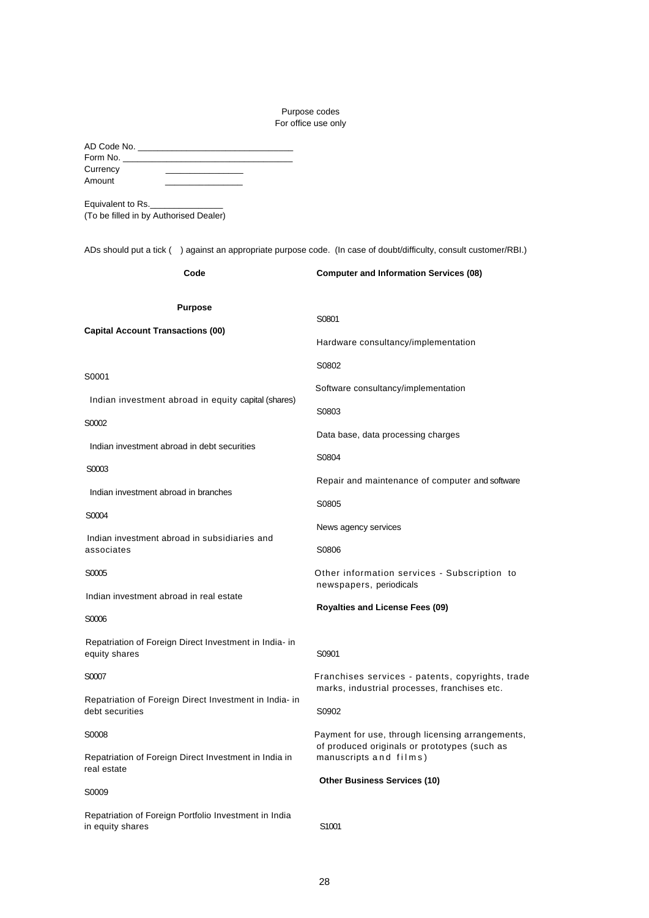# Purpose codes For office use only

| Currency<br>Amount<br>Equivalent to Rs.<br>(To be filled in by Authorised Dealer)<br>ADs should put a tick () against an appropriate purpose code. (In case of doubt/difficulty, consult customer/RBI.) |                                                                                                  |
|---------------------------------------------------------------------------------------------------------------------------------------------------------------------------------------------------------|--------------------------------------------------------------------------------------------------|
| Code                                                                                                                                                                                                    | <b>Computer and Information Services (08)</b>                                                    |
|                                                                                                                                                                                                         |                                                                                                  |
| <b>Purpose</b>                                                                                                                                                                                          | S0801                                                                                            |
| <b>Capital Account Transactions (00)</b>                                                                                                                                                                | Hardware consultancy/implementation                                                              |
|                                                                                                                                                                                                         | S0802                                                                                            |
| S0001                                                                                                                                                                                                   | Software consultancy/implementation                                                              |
| Indian investment abroad in equity capital (shares)                                                                                                                                                     | S0803                                                                                            |
| S0002                                                                                                                                                                                                   | Data base, data processing charges                                                               |
| Indian investment abroad in debt securities                                                                                                                                                             | S0804                                                                                            |
| S0003                                                                                                                                                                                                   | Repair and maintenance of computer and software                                                  |
| Indian investment abroad in branches                                                                                                                                                                    | S0805                                                                                            |
| S0004                                                                                                                                                                                                   | News agency services                                                                             |
| Indian investment abroad in subsidiaries and<br>associates                                                                                                                                              | S0806                                                                                            |
| S0005                                                                                                                                                                                                   | Other information services - Subscription to<br>newspapers, periodicals                          |
| Indian investment abroad in real estate                                                                                                                                                                 | <b>Royalties and License Fees (09)</b>                                                           |
| S0006                                                                                                                                                                                                   |                                                                                                  |
| Repatriation of Foreign Direct Investment in India- in<br>equity shares                                                                                                                                 | S0901                                                                                            |
| S0007                                                                                                                                                                                                   | Franchises services - patents, copyrights, trade<br>marks, industrial processes, franchises etc. |
| Repatriation of Foreign Direct Investment in India- in<br>debt securities                                                                                                                               | S0902                                                                                            |
| S0008                                                                                                                                                                                                   | Payment for use, through licensing arrangements,                                                 |
| Repatriation of Foreign Direct Investment in India in<br>real estate                                                                                                                                    | of produced originals or prototypes (such as<br>manuscripts and films)                           |
| S0009                                                                                                                                                                                                   | <b>Other Business Services (10)</b>                                                              |
| Repatriation of Foreign Portfolio Investment in India<br>in equity shares                                                                                                                               | S <sub>1001</sub>                                                                                |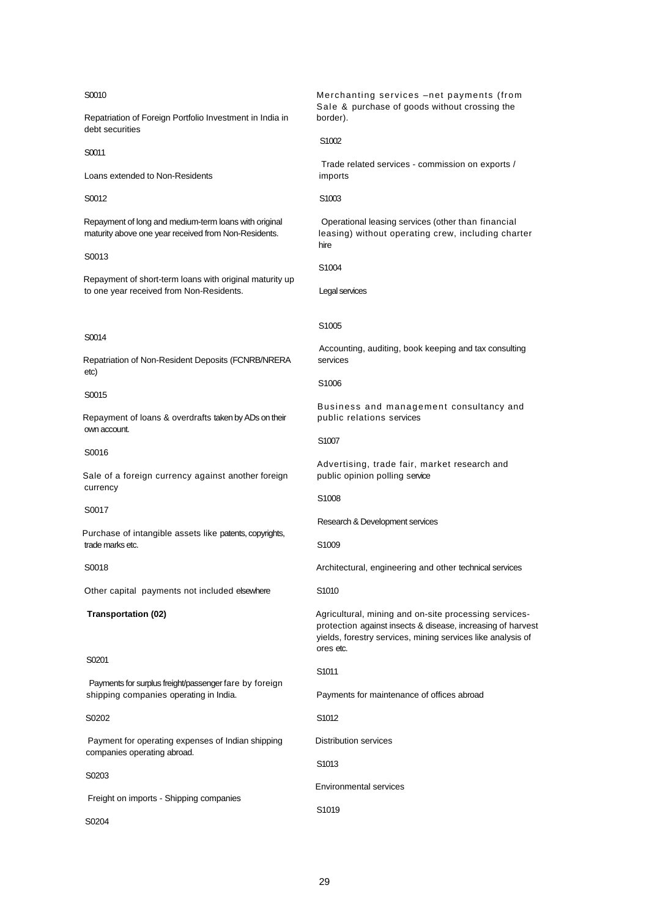#### S0010

Repatriation of Foreign Portfolio Investment in India in debt securities

S0011

Loans extended to Non-Residents

S0012

Repayment of long and medium-term loans with original maturity above one year received from Non-Residents.

S0013

Repayment of short-term loans with original maturity up to one year received from Non-Residents.

#### S0014

Repatriation of Non-Resident Deposits (FCNRB/NRERA etc)

#### S0015

Repayment of loans & overdrafts taken by ADs on their own account.

#### S0016

Sale of a foreign currency against another foreign currency

#### S0017

Purchase of intangible assets like patents, copyrights, trade marks etc.

### S0018

Other capital payments not included elsewhere

#### **Transportation (02)**

#### S<sub>0201</sub>

Payments for surplus freight/passenger fare by foreign shipping companies operating in India.

#### S0202

Payment for operating expenses of Indian shipping companies operating abroad.

#### S0203

Freight on imports - Shipping companies

S<sub>0204</sub>

Merchanting services –net payments (from Sale & purchase of goods without crossing the border).

#### S1002

Trade related services - commission on exports / imports

#### S1003

Operational leasing services (other than financial leasing) without operating crew, including charter hire

S1004

Legal services

#### S1005

Accounting, auditing, book keeping and tax consulting services

#### S1006

Business and management consultancy and public relations services

S1007

Advertising, trade fair, market research and public opinion polling service

#### S1008

Research & Development services

S1009

Architectural, engineering and other technical services

S1010

Agricultural, mining and on-site processing servicesprotection against insects & disease, increasing of harvest yields, forestry services, mining services like analysis of ores etc.

#### S1011

Payments for maintenance of offices abroad

S1012

Distribution services

S1013

Environmental services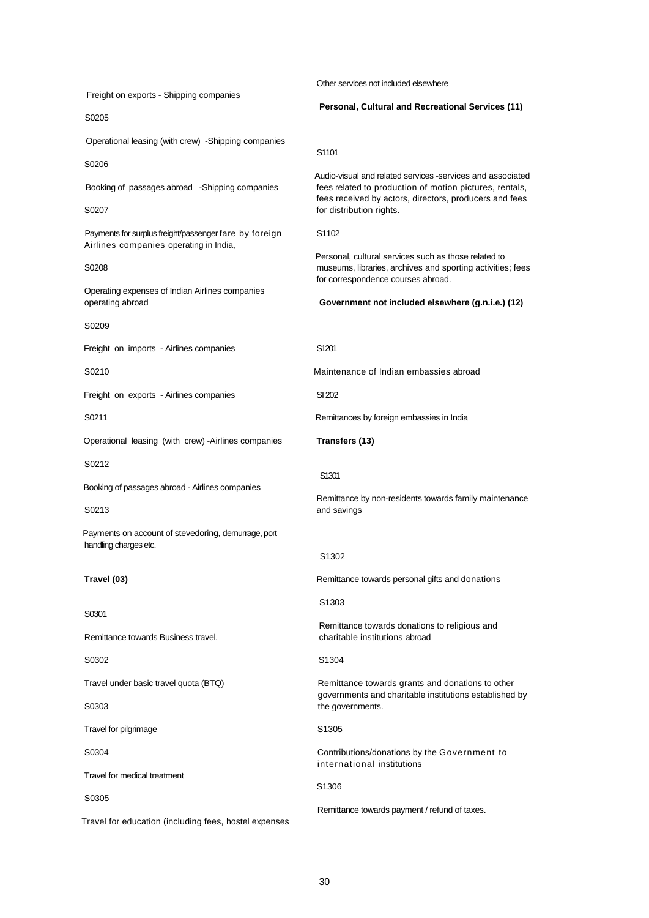Freight on exports - Shipping companies S0205 Operational leasing (with crew) -Shipping companies S0206 Booking of passages abroad -Shipping companies S0207 Payments for surplus freight/passenger fare by foreign Airlines companies operating in India, S0208 Operating expenses of Indian Airlines companies operating abroad S0209 Freight on imports - Airlines companies S0210 Freight on exports - Airlines companies S0211 Operational leasing (with crew) -Airlines companies S0212 Booking of passages abroad - Airlines companies S0213 Payments on account of stevedoring, demurrage, port handling charges etc. **Travel (03)** S0301 Remittance towards Business travel. S0302 Travel under basic travel quota (BTQ) S0303 Travel for pilgrimage S0304 Travel for medical treatment S0305 Travel for education (including fees, hostel expenses Other services not included elsewhere **Personal, Cultural and Recreational Services (11)** S1101 Audio-visual and related services -services and associated fees related to production of motion pictures, rentals, fees received by actors, directors, producers and fees for distribution rights. S1102 Personal, cultural services such as those related to museums, libraries, archives and sporting activities; fees for correspondence courses abroad. **Government not included elsewhere (g.n.i.e.) (12)** S1201 Maintenance of Indian embassies abroad SI 202 Remittances by foreign embassies in India **Transfers (13)** S1301 Remittance by non-residents towards family maintenance and savings S1302 Remittance towards personal gifts and donations S1303 Remittance towards donations to religious and charitable institutions abroad S1304 Remittance towards grants and donations to other governments and charitable institutions established by the governments. S1305 Contributions/donations by the Government to international institutions S1306 Remittance towards payment / refund of taxes.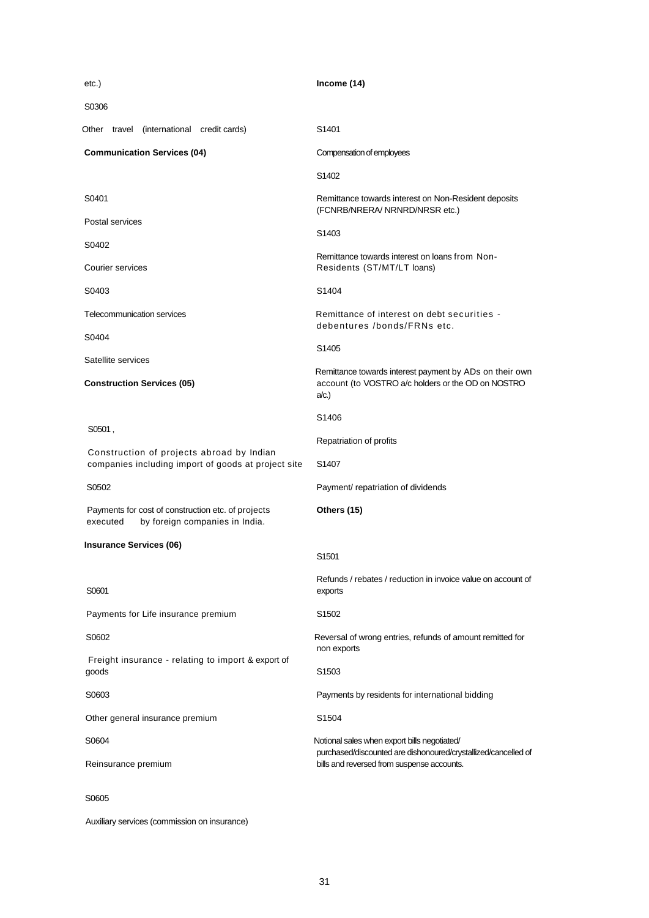| etc.)                                                                                            | Income (14)                                                                                                                                                  |
|--------------------------------------------------------------------------------------------------|--------------------------------------------------------------------------------------------------------------------------------------------------------------|
| S0306                                                                                            |                                                                                                                                                              |
| travel (international credit cards)<br>Other                                                     | S <sub>1401</sub>                                                                                                                                            |
| <b>Communication Services (04)</b>                                                               | Compensation of employees                                                                                                                                    |
|                                                                                                  | S <sub>1402</sub>                                                                                                                                            |
| S0401                                                                                            | Remittance towards interest on Non-Resident deposits<br>(FCNRB/NRERA/ NRNRD/NRSR etc.)                                                                       |
| Postal services                                                                                  | S1403                                                                                                                                                        |
| S0402                                                                                            | Remittance towards interest on loans from Non-                                                                                                               |
| Courier services                                                                                 | Residents (ST/MT/LT loans)                                                                                                                                   |
| S0403                                                                                            | S1404                                                                                                                                                        |
| Telecommunication services                                                                       | Remittance of interest on debt securities -<br>debentures /bonds/FRNs etc.                                                                                   |
| S0404                                                                                            | S1405                                                                                                                                                        |
| Satellite services<br><b>Construction Services (05)</b>                                          | Remittance towards interest payment by ADs on their own<br>account (to VOSTRO a/c holders or the OD on NOSTRO<br>a/c.                                        |
|                                                                                                  | S <sub>1406</sub>                                                                                                                                            |
| S0501,                                                                                           | Repatriation of profits                                                                                                                                      |
| Construction of projects abroad by Indian<br>companies including import of goods at project site | S <sub>140</sub> 7                                                                                                                                           |
| S0502                                                                                            | Payment/ repatriation of dividends                                                                                                                           |
| Payments for cost of construction etc. of projects<br>by foreign companies in India.<br>executed | Others (15)                                                                                                                                                  |
| <b>Insurance Services (06)</b>                                                                   | S <sub>1501</sub>                                                                                                                                            |
| S0601                                                                                            | Refunds / rebates / reduction in invoice value on account of<br>exports                                                                                      |
| Payments for Life insurance premium                                                              | S <sub>1502</sub>                                                                                                                                            |
| S0602                                                                                            | Reversal of wrong entries, refunds of amount remitted for<br>non exports                                                                                     |
| Freight insurance - relating to import & export of<br>goods                                      | S <sub>1503</sub>                                                                                                                                            |
| S0603                                                                                            | Payments by residents for international bidding                                                                                                              |
| Other general insurance premium                                                                  | S1504                                                                                                                                                        |
| S0604                                                                                            | Notional sales when export bills negotiated/<br>purchased/discounted are dishonoured/crystallized/cancelled of<br>bills and reversed from suspense accounts. |
| Reinsurance premium                                                                              |                                                                                                                                                              |
| S0605                                                                                            |                                                                                                                                                              |

Auxiliary services (commission on insurance)